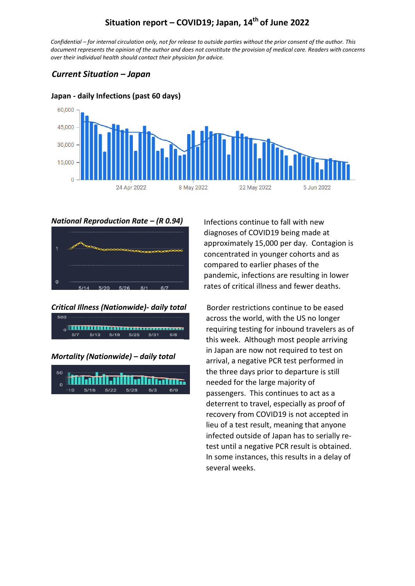# **Situation report – COVID19; Japan, 14th of June 2022**

*Confidential – for internal circulation only, not for release to outside parties without the prior consent of the author. This document represents the opinion of the author and does not constitute the provision of medical care. Readers with concerns over their individual health should contact their physician for advice.*

## *Current Situation – Japan*



#### **Japan - daily Infections (past 60 days)**

#### *National Reproduction Rate – (R 0.94)*



#### *Critical Illness (Nationwide)- daily total*

| 5/7 | 5/13 5/19 5/25 5/31 |  | 6/6 |  |
|-----|---------------------|--|-----|--|

#### *Mortality (Nationwide) – daily total*



Infections continue to fall with new diagnoses of COVID19 being made at approximately 15,000 per day. Contagion is concentrated in younger cohorts and as compared to earlier phases of the pandemic, infections are resulting in lower rates of critical illness and fewer deaths.

Border restrictions continue to be eased across the world, with the US no longer requiring testing for inbound travelers as of this week. Although most people arriving in Japan are now not required to test on arrival, a negative PCR test performed in the three days prior to departure is still needed for the large majority of passengers. This continues to act as a deterrent to travel, especially as proof of recovery from COVID19 is not accepted in lieu of a test result, meaning that anyone infected outside of Japan has to serially retest until a negative PCR result is obtained. In some instances, this results in a delay of several weeks.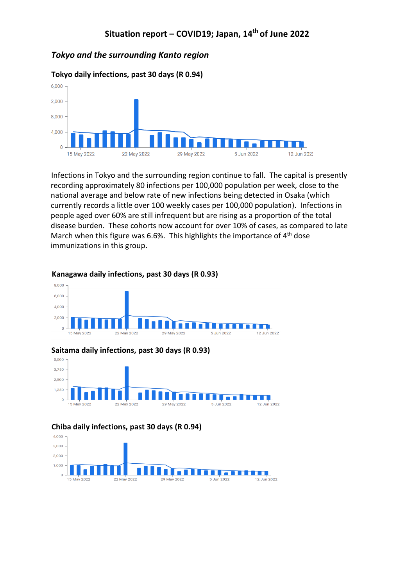## *Tokyo and the surrounding Kanto region*



Infections in Tokyo and the surrounding region continue to fall. The capital is presently recording approximately 80 infections per 100,000 population per week, close to the national average and below rate of new infections being detected in Osaka (which currently records a little over 100 weekly cases per 100,000 population). Infections in people aged over 60% are still infrequent but are rising as a proportion of the total disease burden. These cohorts now account for over 10% of cases, as compared to late March when this figure was 6.6%. This highlights the importance of  $4<sup>th</sup>$  dose immunizations in this group.



#### **Kanagawa daily infections, past 30 days (R 0.93)**

#### **Saitama daily infections, past 30 days (R 0.93)**



#### **Chiba daily infections, past 30 days (R 0.94)**

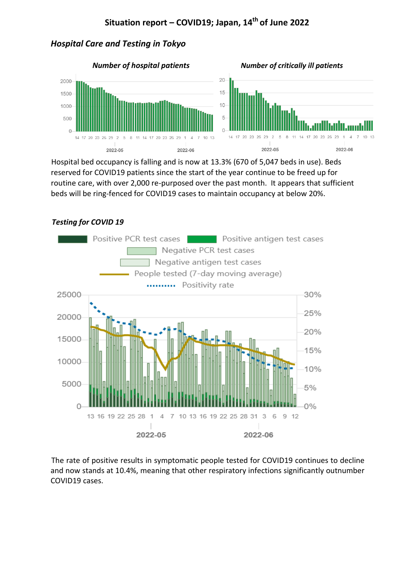# **Situation report – COVID19; Japan, 14th of June 2022**

## *Hospital Care and Testing in Tokyo*



Hospital bed occupancy is falling and is now at 13.3% (670 of 5,047 beds in use). Beds reserved for COVID19 patients since the start of the year continue to be freed up for routine care, with over 2,000 re-purposed over the past month. It appears that sufficient beds will be ring-fenced for COVID19 cases to maintain occupancy at below 20%.

### *Testing for COVID 19*



The rate of positive results in symptomatic people tested for COVID19 continues to decline and now stands at 10.4%, meaning that other respiratory infections significantly outnumber COVID19 cases.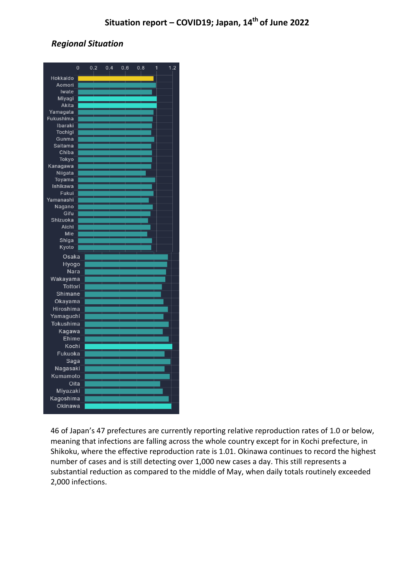# *Regional Situation*

|                | $\mathbf 0$ | 0.2 | 0.4 | 0.6 | 0.8 | 1 | 1.2 |  |
|----------------|-------------|-----|-----|-----|-----|---|-----|--|
| Hokkaido       |             |     |     |     |     |   |     |  |
| Aomori         |             |     |     |     |     |   |     |  |
| Iwate          |             |     |     |     |     |   |     |  |
| Miyagi         |             |     |     |     |     |   |     |  |
| Akita          |             |     |     |     |     |   |     |  |
| Yamagata       |             |     |     |     |     |   |     |  |
| Fukushima      |             |     |     |     |     |   |     |  |
| <b>Ibaraki</b> |             |     |     |     |     |   |     |  |
| <b>Tochigi</b> |             |     |     |     |     |   |     |  |
| Gunma          |             |     |     |     |     |   |     |  |
| <b>Saitama</b> |             |     |     |     |     |   |     |  |
| Chiba          |             |     |     |     |     |   |     |  |
| <b>Tokyo</b>   |             |     |     |     |     |   |     |  |
| Kanagawa       |             |     |     |     |     |   |     |  |
| Niigata        |             |     |     |     |     |   |     |  |
| Toyama         |             |     |     |     |     |   |     |  |
| Ishikawa       |             |     |     |     |     |   |     |  |
| Fukui          |             |     |     |     |     |   |     |  |
| Yamanashi      |             |     |     |     |     |   |     |  |
| Nagano         |             |     |     |     |     |   |     |  |
| Gifu           |             |     |     |     |     |   |     |  |
| Shizuoka       |             |     |     |     |     |   |     |  |
| Aichi          |             |     |     |     |     |   |     |  |
| Mie            |             |     |     |     |     |   |     |  |
| Shiga          |             |     |     |     |     |   |     |  |
| Kyoto          |             |     |     |     |     |   |     |  |
| Osaka          |             |     |     |     |     |   |     |  |
| Hyogo          |             |     |     |     |     |   |     |  |
| Nara           |             |     |     |     |     |   |     |  |
| Wakayama       |             |     |     |     |     |   |     |  |
| <b>Tottori</b> |             |     |     |     |     |   |     |  |
| Shimane        |             |     |     |     |     |   |     |  |
| Okayama        |             |     |     |     |     |   |     |  |
| Hiroshima      |             |     |     |     |     |   |     |  |
| Yamaguchi      |             |     |     |     |     |   |     |  |
| Tokushima      |             |     |     |     |     |   |     |  |
|                |             |     |     |     |     |   |     |  |
| Kagawa         |             |     |     |     |     |   |     |  |
| Ehime          |             |     |     |     |     |   |     |  |
| Kochi          |             |     |     |     |     |   |     |  |
| Fukuoka        |             |     |     |     |     |   |     |  |
| Saga           |             |     |     |     |     |   |     |  |
| Nagasaki       |             |     |     |     |     |   |     |  |
| Kumamoto       |             |     |     |     |     |   |     |  |
| Oita           |             |     |     |     |     |   |     |  |
| Miyazaki       |             |     |     |     |     |   |     |  |
| Kagoshima      |             |     |     |     |     |   |     |  |
| Okinawa        |             |     |     |     |     |   |     |  |
|                |             |     |     |     |     |   |     |  |
|                |             |     |     |     |     |   |     |  |

46 of Japan's 47 prefectures are currently reporting relative reproduction rates of 1.0 or below, meaning that infections are falling across the whole country except for in Kochi prefecture, in Shikoku, where the effective reproduction rate is 1.01. Okinawa continues to record the highest number of cases and is still detecting over 1,000 new cases a day. This still represents a substantial reduction as compared to the middle of May, when daily totals routinely exceeded 2,000 infections.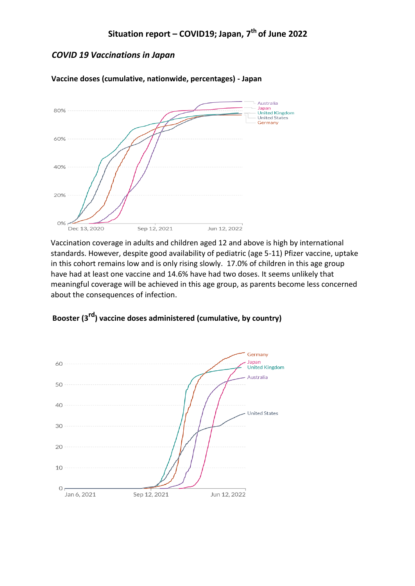## *COVID 19 Vaccinations in Japan*



**Vaccine doses (cumulative, nationwide, percentages) - Japan** 

Vaccination coverage in adults and children aged 12 and above is high by international standards. However, despite good availability of pediatric (age 5-11) Pfizer vaccine, uptake in this cohort remains low and is only rising slowly. 17.0% of children in this age group have had at least one vaccine and 14.6% have had two doses. It seems unlikely that meaningful coverage will be achieved in this age group, as parents become less concerned about the consequences of infection.